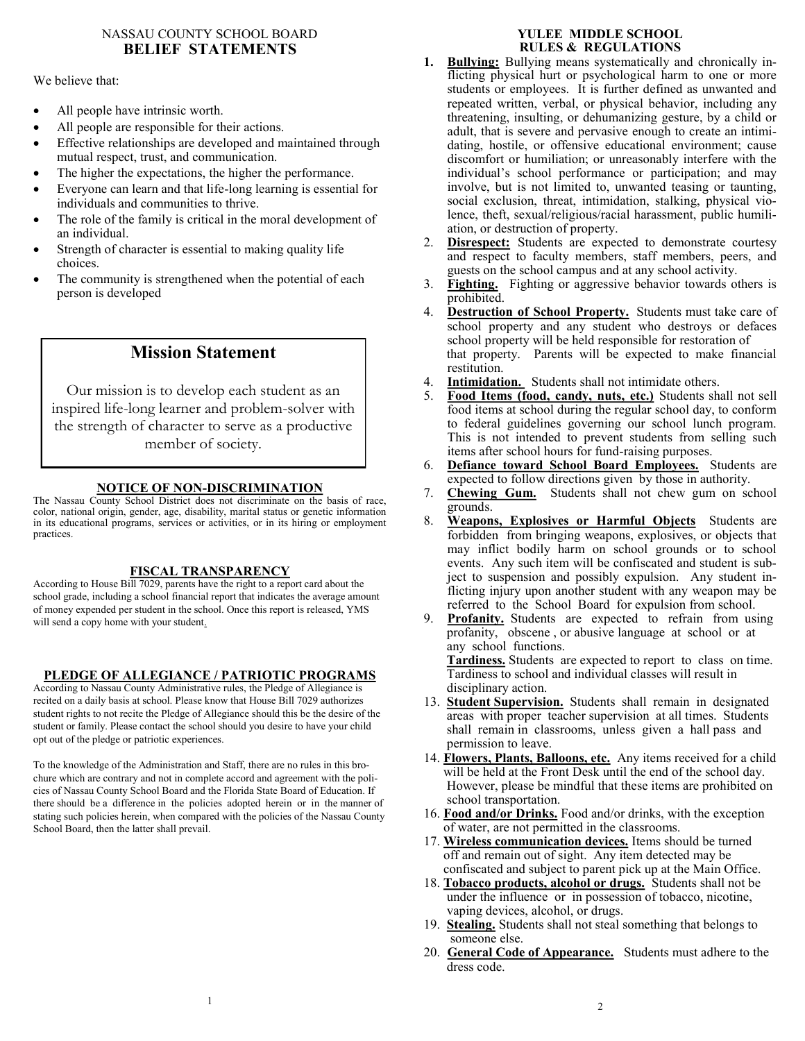## NASSAU COUNTY SCHOOL BOARD **BELIEF STATEMENTS**

#### We believe that:

- All people have intrinsic worth.
- All people are responsible for their actions.
- Effective relationships are developed and maintained through mutual respect, trust, and communication.
- The higher the expectations, the higher the performance.
- Everyone can learn and that life-long learning is essential for individuals and communities to thrive.
- The role of the family is critical in the moral development of an individual.
- Strength of character is essential to making quality life choices.
- The community is strengthened when the potential of each person is developed

## **Mission Statement**

Our mission is to develop each student as an inspired life-long learner and problem-solver with the strength of character to serve as a productive member of society.

## **NOTICE OF NON-DISCRIMINATION**

The Nassau County School District does not discriminate on the basis of race, color, national origin, gender, age, disability, marital status or genetic information in its educational programs, services or activities, or in its hiring or employment practices.

## **FISCAL TRANSPARENCY**

According to House Bill 7029, parents have the right to a report card about the school grade, including a school financial report that indicates the average amount of money expended per student in the school. Once this report is released, YMS will send a copy home with your student.

## **PLEDGE OF ALLEGIANCE / PATRIOTIC PROGRAMS**

According to Nassau County Administrative rules, the Pledge of Allegiance is recited on a daily basis at school. Please know that House Bill 7029 authorizes student rights to not recite the Pledge of Allegiance should this be the desire of the student or family. Please contact the school should you desire to have your child opt out of the pledge or patriotic experiences.

To the knowledge of the Administration and Staff, there are no rules in this brochure which are contrary and not in complete accord and agreement with the policies of Nassau County School Board and the Florida State Board of Education. If there should be a difference in the policies adopted herein or in the manner of stating such policies herein, when compared with the policies of the Nassau County School Board, then the latter shall prevail.

## **YULEE MIDDLE SCHOOL RULES & REGULATIONS**

- **1. Bullying:** Bullying means systematically and chronically inflicting physical hurt or psychological harm to one or more students or employees. It is further defined as unwanted and repeated written, verbal, or physical behavior, including any threatening, insulting, or dehumanizing gesture, by a child or adult, that is severe and pervasive enough to create an intimidating, hostile, or offensive educational environment; cause discomfort or humiliation; or unreasonably interfere with the individual's school performance or participation; and may involve, but is not limited to, unwanted teasing or taunting, social exclusion, threat, intimidation, stalking, physical violence, theft, sexual/religious/racial harassment, public humiliation, or destruction of property.
- 2. **Disrespect:** Students are expected to demonstrate courtesy and respect to faculty members, staff members, peers, and guests on the school campus and at any school activity.
- 3. **Fighting.** Fighting or aggressive behavior towards others is prohibited.
- 4. **Destruction of School Property.** Students must take care of school property and any student who destroys or defaces school property will be held responsible for restoration of that property. Parents will be expected to make financial restitution.
- 4. **Intimidation.** Students shall not intimidate others.
- 5. **Food Items (food, candy, nuts, etc.)** Students shall not sell food items at school during the regular school day, to conform to federal guidelines governing our school lunch program. This is not intended to prevent students from selling such items after school hours for fund-raising purposes.
- 6. **Defiance toward School Board Employees.** Students are expected to follow directions given by those in authority.
- 7. **Chewing Gum.** Students shall not chew gum on school grounds.
- 8. **Weapons, Explosives or Harmful Objects** Students are forbidden from bringing weapons, explosives, or objects that may inflict bodily harm on school grounds or to school events. Any such item will be confiscated and student is subject to suspension and possibly expulsion. Any student inflicting injury upon another student with any weapon may be referred to the School Board for expulsion from school.
- 9. **Profanity.** Students are expected to refrain from using profanity, obscene , or abusive language at school or at any school functions.

 **Tardiness.** Students are expected to report to class on time. Tardiness to school and individual classes will result in disciplinary action.

- 13. **Student Supervision.** Students shall remain in designated areas with proper teacher supervision at all times. Students shall remain in classrooms, unless given a hall pass and permission to leave.
- 14. **Flowers, Plants, Balloons, etc.** Any items received for a child will be held at the Front Desk until the end of the school day. However, please be mindful that these items are prohibited on school transportation.
- 16. **Food and/or Drinks.** Food and/or drinks, with the exception of water, are not permitted in the classrooms.
- 17. **Wireless communication devices.** Items should be turned off and remain out of sight. Any item detected may be confiscated and subject to parent pick up at the Main Office.
- 18. **Tobacco products, alcohol or drugs.** Students shall not be under the influence or in possession of tobacco, nicotine, vaping devices, alcohol, or drugs.
- 19. **Stealing.** Students shall not steal something that belongs to someone else.
- 20. **General Code of Appearance.** Students must adhere to the dress code.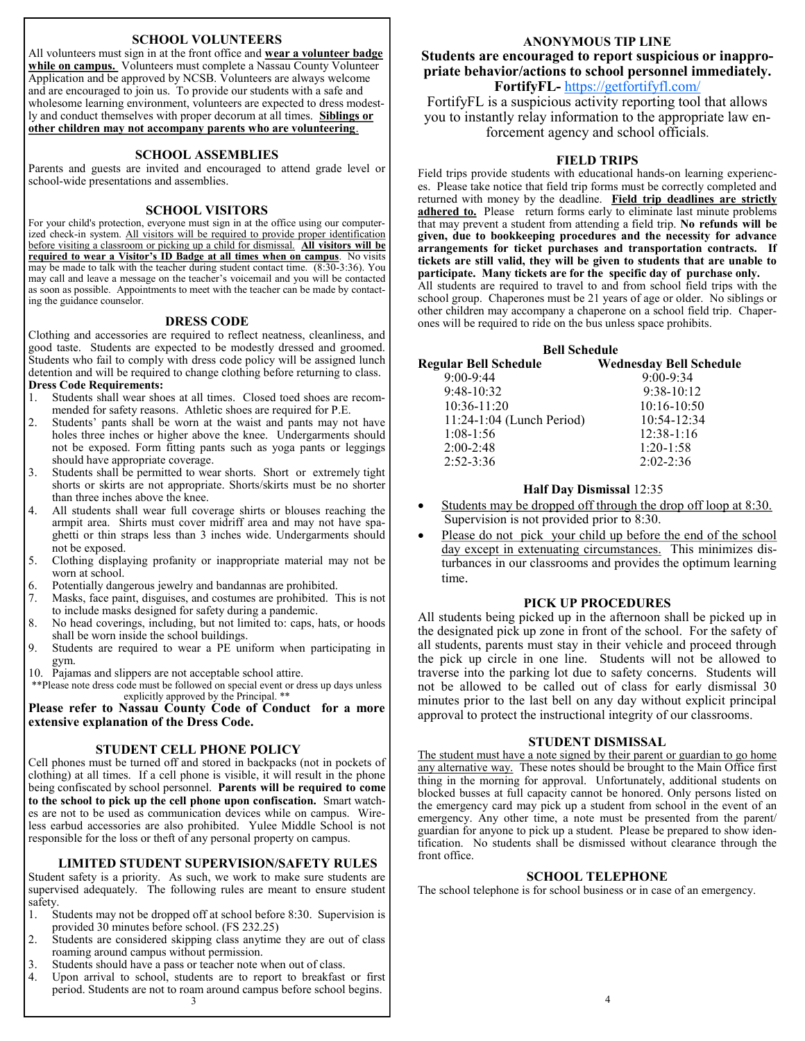#### **SCHOOL VOLUNTEERS**

All volunteers must sign in at the front office and **wear a volunteer badge**  while on campus. Volunteers must complete a Nassau County Volunteer Application and be approved by NCSB. Volunteers are always welcome and are encouraged to join us. To provide our students with a safe and wholesome learning environment, volunteers are expected to dress modestly and conduct themselves with proper decorum at all times. **Siblings or other children may not accompany parents who are volunteering**.

#### **SCHOOL ASSEMBLIES**

Parents and guests are invited and encouraged to attend grade level or school-wide presentations and assemblies.

#### **SCHOOL VISITORS**

For your child's protection, everyone must sign in at the office using our computerized check-in system. All visitors will be required to provide proper identification before visiting a classroom or picking up a child for dismissal. **All visitors will be required to wear a Visitor's ID Badge at all times when on campus**. No visits may be made to talk with the teacher during student contact time. (8:30-3:36). You may call and leave a message on the teacher's voicemail and you will be contacted as soon as possible. Appointments to meet with the teacher can be made by contacting the guidance counselor.

#### **DRESS CODE**

Clothing and accessories are required to reflect neatness, cleanliness, and good taste. Students are expected to be modestly dressed and groomed. Students who fail to comply with dress code policy will be assigned lunch detention and will be required to change clothing before returning to class. **Dress Code Requirements:** 

- 1. Students shall wear shoes at all times. Closed toed shoes are recommended for safety reasons. Athletic shoes are required for P.E.
- 2. Students' pants shall be worn at the waist and pants may not have holes three inches or higher above the knee. Undergarments should not be exposed. Form fitting pants such as yoga pants or leggings should have appropriate coverage.
- 3. Students shall be permitted to wear shorts. Short or extremely tight shorts or skirts are not appropriate. Shorts/skirts must be no shorter than three inches above the knee.
- 4. All students shall wear full coverage shirts or blouses reaching the armpit area. Shirts must cover midriff area and may not have spaghetti or thin straps less than 3 inches wide. Undergarments should not be exposed.
- 5. Clothing displaying profanity or inappropriate material may not be worn at school.
- 6. Potentially dangerous jewelry and bandannas are prohibited.
- 7. Masks, face paint, disguises, and costumes are prohibited. This is not to include masks designed for safety during a pandemic.
- 8. No head coverings, including, but not limited to: caps, hats, or hoods shall be worn inside the school buildings.
- 9. Students are required to wear a PE uniform when participating in gym.
- 10. Pajamas and slippers are not acceptable school attire.

\*\*Please note dress code must be followed on special event or dress up days unless explicitly approved by the Principal. \*\*

**Please refer to Nassau County Code of Conduct for a more extensive explanation of the Dress Code.** 

#### **STUDENT CELL PHONE POLICY**

Cell phones must be turned off and stored in backpacks (not in pockets of clothing) at all times. If a cell phone is visible, it will result in the phone being confiscated by school personnel. **Parents will be required to come to the school to pick up the cell phone upon confiscation.** Smart watches are not to be used as communication devices while on campus. Wireless earbud accessories are also prohibited. Yulee Middle School is not responsible for the loss or theft of any personal property on campus.

#### **LIMITED STUDENT SUPERVISION/SAFETY RULES**

Student safety is a priority. As such, we work to make sure students are supervised adequately. The following rules are meant to ensure student safety.<br>1. S

- Students may not be dropped off at school before 8:30. Supervision is provided 30 minutes before school. (FS 232.25)
- 2. Students are considered skipping class anytime they are out of class roaming around campus without permission.
- 3. Students should have a pass or teacher note when out of class.<br>4. Upon arrival to school, students are to report to breakfast
- Upon arrival to school, students are to report to breakfast or first period. Students are not to roam around campus before school begins. 3

## **ANONYMOUS TIP LINE Students are encouraged to report suspicious or inappropriate behavior/actions to school personnel immediately.**

## **FortifyFL-** <https://getfortifyfl.com/>

FortifyFL is a suspicious activity reporting tool that allows you to instantly relay information to the appropriate law enforcement agency and school officials.

#### **FIELD TRIPS**

Field trips provide students with educational hands-on learning experiences. Please take notice that field trip forms must be correctly completed and returned with money by the deadline. **Field trip deadlines are strictly adhered to.** Please return forms early to eliminate last minute problems that may prevent a student from attending a field trip. **No refunds will be given, due to bookkeeping procedures and the necessity for advance arrangements for ticket purchases and transportation contracts. If tickets are still valid, they will be given to students that are unable to participate. Many tickets are for the specific day of purchase only.** All students are required to travel to and from school field trips with the school group. Chaperones must be 21 years of age or older. No siblings or other children may accompany a chaperone on a school field trip. Chaperones will be required to ride on the bus unless space prohibits.

#### **Bell Schedule Regular Bell Schedule Wednesday Bell Schedule** 9:00-9:44 9:00-9:34 9:48-10:32 9:38-10:12 10:36-11:20 10:16-10:50

| 10:36-11:20               | 10:16-10:50     |
|---------------------------|-----------------|
| 11:24-1:04 (Lunch Period) | $10:54 - 12:34$ |
| $1:08-1:56$               | $12:38-1:16$    |
| $2:00-2:48$               | $1:20-1:58$     |
| $2:52 - 3:36$             | $2:02 - 2:36$   |
|                           |                 |

#### **Half Day Dismissal** 12:35

- Students may be dropped off through the drop off loop at 8:30. Supervision is not provided prior to 8:30.
- Please do not pick your child up before the end of the school day except in extenuating circumstances. This minimizes disturbances in our classrooms and provides the optimum learning time.

#### **PICK UP PROCEDURES**

All students being picked up in the afternoon shall be picked up in the designated pick up zone in front of the school. For the safety of all students, parents must stay in their vehicle and proceed through the pick up circle in one line. Students will not be allowed to traverse into the parking lot due to safety concerns. Students will not be allowed to be called out of class for early dismissal 30 minutes prior to the last bell on any day without explicit principal approval to protect the instructional integrity of our classrooms.

#### **STUDENT DISMISSAL**

The student must have a note signed by their parent or guardian to go home any alternative way. These notes should be brought to the Main Office first thing in the morning for approval. Unfortunately, additional students on blocked busses at full capacity cannot be honored. Only persons listed on the emergency card may pick up a student from school in the event of an emergency. Any other time, a note must be presented from the parent/ guardian for anyone to pick up a student. Please be prepared to show identification. No students shall be dismissed without clearance through the front office.

#### **SCHOOL TELEPHONE**

The school telephone is for school business or in case of an emergency.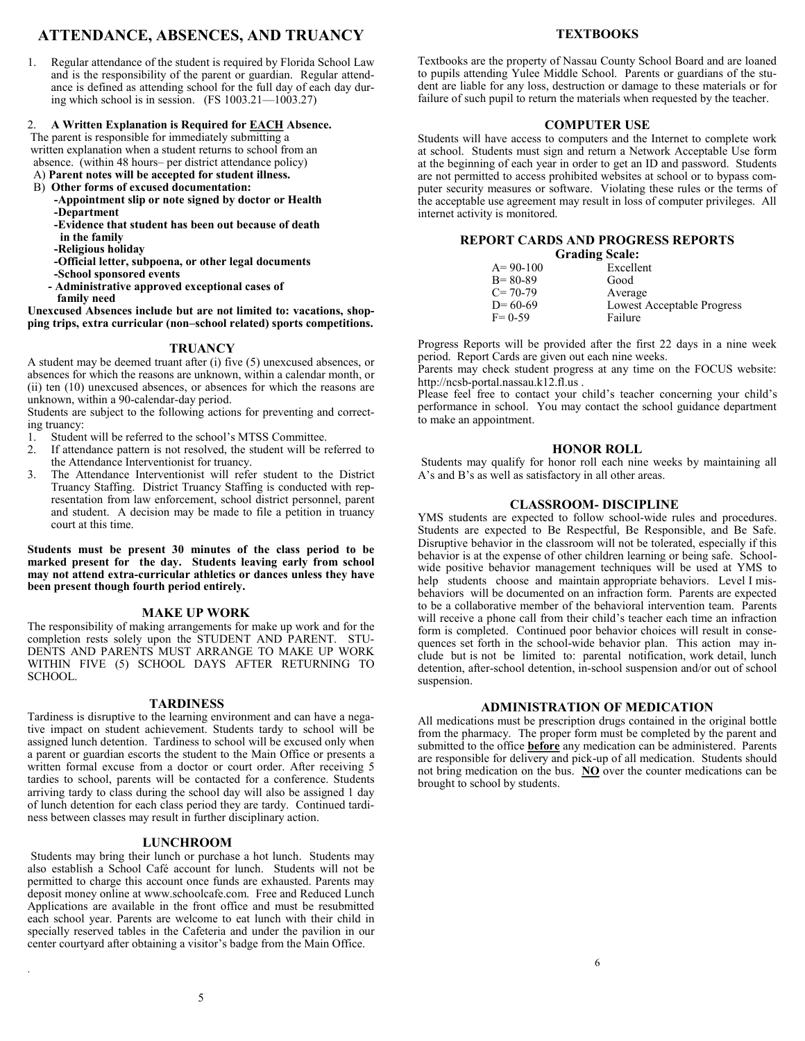## **ATTENDANCE, ABSENCES, AND TRUANCY**

1. Regular attendance of the student is required by Florida School Law and is the responsibility of the parent or guardian. Regular attendance is defined as attending school for the full day of each day during which school is in session. (FS 1003.21—1003.27)

#### 2. **A Written Explanation is Required for EACH Absence.**

The parent is responsible for immediately submitting a written explanation when a student returns to school from an absence. (within 48 hours– per district attendance policy)

- A) **Parent notes will be accepted for student illness.**
- B) **Other forms of excused documentation:**
	- **-Appointment slip or note signed by doctor or Health -Department**
	- **-Evidence that student has been out because of death**
	- **in the family**
	- **-Religious holiday**
	- **-Official letter, subpoena, or other legal documents**
	- **-School sponsored events**
	- **- Administrative approved exceptional cases of**
	- **family need**

#### **Unexcused Absences include but are not limited to: vacations, shopping trips, extra curricular (non–school related) sports competitions.**

#### **TRUANCY**

A student may be deemed truant after (i) five (5) unexcused absences, or absences for which the reasons are unknown, within a calendar month, or (ii) ten (10) unexcused absences, or absences for which the reasons are unknown, within a 90-calendar-day period.

Students are subject to the following actions for preventing and correcting truancy:

- 1. Student will be referred to the school's MTSS Committee.
- 2. If attendance pattern is not resolved, the student will be referred to the Attendance Interventionist for truancy.
- 3. The Attendance Interventionist will refer student to the District Truancy Staffing. District Truancy Staffing is conducted with representation from law enforcement, school district personnel, parent and student. A decision may be made to file a petition in truancy court at this time.

**Students must be present 30 minutes of the class period to be marked present for the day. Students leaving early from school may not attend extra-curricular athletics or dances unless they have been present though fourth period entirely.** 

#### **MAKE UP WORK**

The responsibility of making arrangements for make up work and for the completion rests solely upon the STUDENT AND PARENT. STU-DENTS AND PARENTS MUST ARRANGE TO MAKE UP WORK WITHIN FIVE (5) SCHOOL DAYS AFTER RETURNING TO SCHOOL.

#### **TARDINESS**

Tardiness is disruptive to the learning environment and can have a negative impact on student achievement. Students tardy to school will be assigned lunch detention. Tardiness to school will be excused only when a parent or guardian escorts the student to the Main Office or presents a written formal excuse from a doctor or court order. After receiving 5 tardies to school, parents will be contacted for a conference. Students arriving tardy to class during the school day will also be assigned 1 day of lunch detention for each class period they are tardy. Continued tardiness between classes may result in further disciplinary action.

#### **LUNCHROOM**

Students may bring their lunch or purchase a hot lunch. Students may also establish a School Café account for lunch. Students will not be permitted to charge this account once funds are exhausted. Parents may deposit money online at www.schoolcafe.com. Free and Reduced Lunch Applications are available in the front office and must be resubmitted each school year. Parents are welcome to eat lunch with their child in specially reserved tables in the Cafeteria and under the pavilion in our center courtyard after obtaining a visitor's badge from the Main Office.

#### **TEXTBOOKS**

Textbooks are the property of Nassau County School Board and are loaned to pupils attending Yulee Middle School. Parents or guardians of the student are liable for any loss, destruction or damage to these materials or for failure of such pupil to return the materials when requested by the teacher.

#### **COMPUTER USE**

Students will have access to computers and the Internet to complete work at school. Students must sign and return a Network Acceptable Use form at the beginning of each year in order to get an ID and password. Students are not permitted to access prohibited websites at school or to bypass computer security measures or software. Violating these rules or the terms of the acceptable use agreement may result in loss of computer privileges. All internet activity is monitored.

#### **REPORT CARDS AND PROGRESS REPORTS Grading Scale:**

| Graumg Scale: |                            |
|---------------|----------------------------|
| $A = 90-100$  | Excellent                  |
| $B = 80-89$   | Good                       |
| $C = 70-79$   | Average                    |
| $D = 60-69$   | Lowest Acceptable Progress |
| $F = 0.59$    | Failure                    |
|               |                            |

Progress Reports will be provided after the first 22 days in a nine week period. Report Cards are given out each nine weeks.

Parents may check student progress at any time on the FOCUS website: http://ncsb-portal.nassau.k12.fl.us .

Please feel free to contact your child's teacher concerning your child's performance in school. You may contact the school guidance department to make an appointment.

#### **HONOR ROLL**

Students may qualify for honor roll each nine weeks by maintaining all A's and B's as well as satisfactory in all other areas.

#### **CLASSROOM- DISCIPLINE**

YMS students are expected to follow school-wide rules and procedures. Students are expected to Be Respectful, Be Responsible, and Be Safe. Disruptive behavior in the classroom will not be tolerated, especially if this behavior is at the expense of other children learning or being safe. Schoolwide positive behavior management techniques will be used at YMS to help students choose and maintain appropriate behaviors. Level I misbehaviors will be documented on an infraction form. Parents are expected to be a collaborative member of the behavioral intervention team. Parents will receive a phone call from their child's teacher each time an infraction form is completed. Continued poor behavior choices will result in consequences set forth in the school-wide behavior plan. This action may include but is not be limited to: parental notification, work detail, lunch detention, after-school detention, in-school suspension and/or out of school suspension.

#### **ADMINISTRATION OF MEDICATION**

All medications must be prescription drugs contained in the original bottle from the pharmacy. The proper form must be completed by the parent and submitted to the office **before** any medication can be administered. Parents are responsible for delivery and pick-up of all medication. Students should not bring medication on the bus. **NO** over the counter medications can be brought to school by students.

.